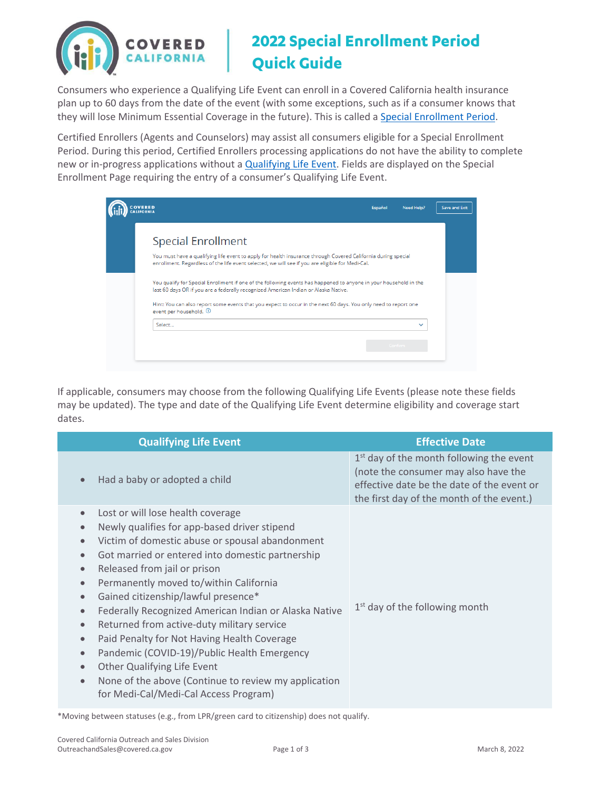

## **2022 Special Enrollment Period Quick Guide**

Consumers who experience a Qualifying Life Event can enroll in a Covered California health insurance plan up to 60 days from the date of the event (with some exceptions, such as if a consumer knows that they will lose Minimum Essential Coverage in the future). This is called a [Special Enrollment](http://www.coveredca.com/individuals-and-families/getting-covered/special-enrollment/) Period.

Certified Enrollers (Agents and Counselors) may assist all consumers eligible for a Special Enrollment Period. During this period, Certified Enrollers processing applications do not have the ability to complete new or in-progress applications without [a Qualifying Life Event.](https://www.coveredca.com/support/before-you-buy/qualifying-life-events/) Fields are displayed on the Special Enrollment Page requiring the entry of a consumer's Qualifying Life Event.

|                                                                                                                                                                                                                                                                                                                                                         | Español | Need Help?              | Save and Exit |
|---------------------------------------------------------------------------------------------------------------------------------------------------------------------------------------------------------------------------------------------------------------------------------------------------------------------------------------------------------|---------|-------------------------|---------------|
| <b>Special Enrollment</b><br>You must have a qualifying life event to apply for health insurance through Covered California during special<br>enrollment. Regardless of the life event selected, we will see if you are eligible for Medi-Cal.                                                                                                          |         |                         |               |
| You qualify for Special Enrollment if one of the following events has happened to anyone in your household in the<br>last 60 days OR if you are a federally recognized American Indian or Alaska Native.<br>Hint: You can also report some events that you expect to occur in the next 60 days. You only need to report one<br>event per household. (D) |         |                         |               |
| Select                                                                                                                                                                                                                                                                                                                                                  |         | $\checkmark$<br>Confirm |               |

If applicable, consumers may choose from the following Qualifying Life Events (please note these fields may be updated). The type and date of the Qualifying Life Event determine eligibility and coverage start dates.

| <b>Qualifying Life Event</b>                                                                                                                                                                                                                                                                                                                                                                                                                                                                                                                                                                                                                                                                                                                                                                                            | <b>Effective Date</b>                                                                                                                                                         |
|-------------------------------------------------------------------------------------------------------------------------------------------------------------------------------------------------------------------------------------------------------------------------------------------------------------------------------------------------------------------------------------------------------------------------------------------------------------------------------------------------------------------------------------------------------------------------------------------------------------------------------------------------------------------------------------------------------------------------------------------------------------------------------------------------------------------------|-------------------------------------------------------------------------------------------------------------------------------------------------------------------------------|
| Had a baby or adopted a child<br>$\bullet$                                                                                                                                                                                                                                                                                                                                                                                                                                                                                                                                                                                                                                                                                                                                                                              | $1st$ day of the month following the event<br>(note the consumer may also have the<br>effective date be the date of the event or<br>the first day of the month of the event.) |
| Lost or will lose health coverage<br>$\bullet$<br>Newly qualifies for app-based driver stipend<br>$\bullet$<br>Victim of domestic abuse or spousal abandonment<br>$\bullet$<br>Got married or entered into domestic partnership<br>$\bullet$<br>Released from jail or prison<br>$\bullet$<br>Permanently moved to/within California<br>$\bullet$<br>Gained citizenship/lawful presence*<br>$\bullet$<br>Federally Recognized American Indian or Alaska Native<br>$\bullet$<br>Returned from active-duty military service<br>$\bullet$<br>Paid Penalty for Not Having Health Coverage<br>$\bullet$<br>Pandemic (COVID-19)/Public Health Emergency<br>$\bullet$<br>Other Qualifying Life Event<br>$\bullet$<br>None of the above (Continue to review my application<br>$\bullet$<br>for Medi-Cal/Medi-Cal Access Program) | 1 <sup>st</sup> day of the following month                                                                                                                                    |

\*Moving between statuses (e.g., from LPR/green card to citizenship) does not qualify.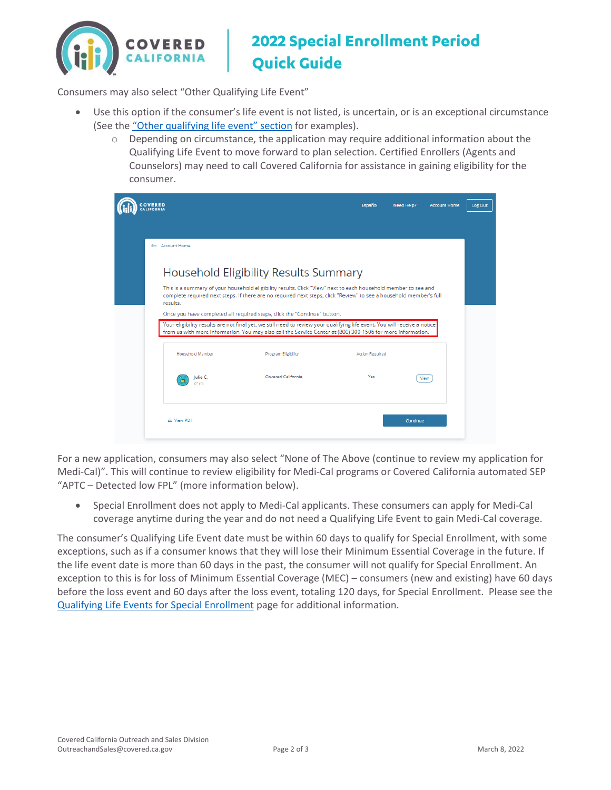

## **2022 Special Enrollment Period Quick Guide**

Consumers may also select "Other Qualifying Life Event"

- Use this option if the consumer's life event is not listed, is uncertain, or is an exceptional circumstance (See the ["Other qualifying life event" section](https://www.coveredca.com/support/before-you-buy/qualifying-life-events/) for examples).
	- $\circ$  Depending on circumstance, the application may require additional information about the Qualifying Life Event to move forward to plan selection. Certified Enrollers (Agents and Counselors) may need to call Covered California for assistance in gaining eligibility for the consumer.

| <b>COVERED</b><br><b>CALIFORNIA</b> |                                                                                                                                                                                                                                      | <b>Español</b>         | Need Help?<br><b>Account Home</b> |
|-------------------------------------|--------------------------------------------------------------------------------------------------------------------------------------------------------------------------------------------------------------------------------------|------------------------|-----------------------------------|
|                                     |                                                                                                                                                                                                                                      |                        |                                   |
| ← Account Home                      |                                                                                                                                                                                                                                      |                        |                                   |
|                                     | Household Eligibility Results Summary                                                                                                                                                                                                |                        |                                   |
| results.                            | This is a summary of your household eligibility results. Click "View" next to each household member to see and<br>complete required next steps. If there are no required next steps, click "Review" to see a household member's full |                        |                                   |
|                                     | Once you have completed all required steps, click the "Continue" button.<br>Your eligibility results are not final yet, we still need to review your qualifying life event. You will receive a notice                                |                        |                                   |
|                                     | from us with more information. You may also call the Service Center at (800) 300-1506 for more information.                                                                                                                          |                        |                                   |
| Household Member                    | <b>Program Eligibility</b>                                                                                                                                                                                                           | <b>Action Required</b> |                                   |
| Julie C.                            | Covered California                                                                                                                                                                                                                   | Yes                    | View                              |
| 27 yrs                              |                                                                                                                                                                                                                                      |                        |                                   |

For a new application, consumers may also select "None of The Above (continue to review my application for Medi-Cal)". This will continue to review eligibility for Medi-Cal programs or Covered California automated SEP "APTC – Detected low FPL" (more information below).

• Special Enrollment does not apply to Medi-Cal applicants. These consumers can apply for Medi-Cal coverage anytime during the year and do not need a Qualifying Life Event to gain Medi-Cal coverage.

The consumer's Qualifying Life Event date must be within 60 days to qualify for Special Enrollment, with some exceptions, such as if a consumer knows that they will lose their Minimum Essential Coverage in the future. If the life event date is more than 60 days in the past, the consumer will not qualify for Special Enrollment. An exception to this is for loss of Minimum Essential Coverage (MEC) – consumers (new and existing) have 60 days before the loss event and 60 days after the loss event, totaling 120 days, for Special Enrollment. Please see the [Qualifying Life Events for Special Enrollment](https://www.coveredca.com/support/before-you-buy/qualifying-life-events/) page for additional information.